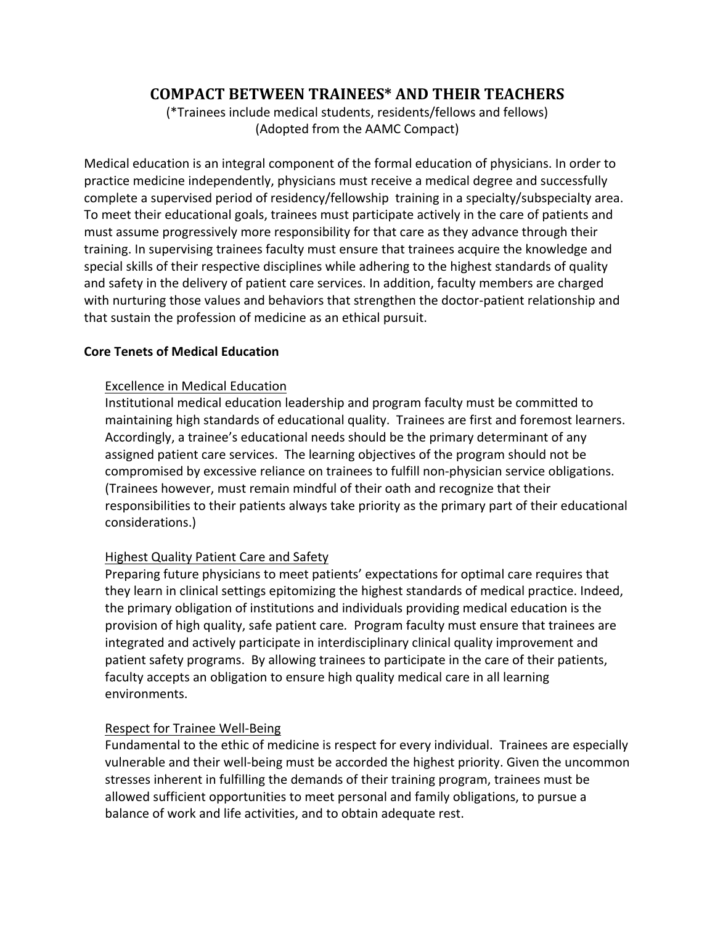# **COMPACT BETWEEN TRAINEES\* AND THEIR TEACHERS**

(\*Trainees include medical students, residents/fellows and fellows) (Adopted from the AAMC Compact)

Medical education is an integral component of the formal education of physicians. In order to practice medicine independently, physicians must receive a medical degree and successfully complete a supervised period of residency/fellowship training in a specialty/subspecialty area. To meet their educational goals, trainees must participate actively in the care of patients and must assume progressively more responsibility for that care as they advance through their training. In supervising trainees faculty must ensure that trainees acquire the knowledge and special skills of their respective disciplines while adhering to the highest standards of quality and safety in the delivery of patient care services. In addition, faculty members are charged with nurturing those values and behaviors that strengthen the doctor-patient relationship and that sustain the profession of medicine as an ethical pursuit.

#### **Core Tenets of Medical Education**

## Excellence in Medical Education

Institutional medical education leadership and program faculty must be committed to maintaining high standards of educational quality. Trainees are first and foremost learners. Accordingly, a trainee's educational needs should be the primary determinant of any assigned patient care services. The learning objectives of the program should not be compromised by excessive reliance on trainees to fulfill non-physician service obligations. (Trainees however, must remain mindful of their oath and recognize that their responsibilities to their patients always take priority as the primary part of their educational considerations.) 

# Highest Quality Patient Care and Safety

Preparing future physicians to meet patients' expectations for optimal care requires that they learn in clinical settings epitomizing the highest standards of medical practice. Indeed, the primary obligation of institutions and individuals providing medical education is the provision of high quality, safe patient care. Program faculty must ensure that trainees are integrated and actively participate in interdisciplinary clinical quality improvement and patient safety programs. By allowing trainees to participate in the care of their patients, faculty accepts an obligation to ensure high quality medical care in all learning environments. 

# Respect for Trainee Well-Being

Fundamental to the ethic of medicine is respect for every individual. Trainees are especially vulnerable and their well-being must be accorded the highest priority. Given the uncommon stresses inherent in fulfilling the demands of their training program, trainees must be allowed sufficient opportunities to meet personal and family obligations, to pursue a balance of work and life activities, and to obtain adequate rest.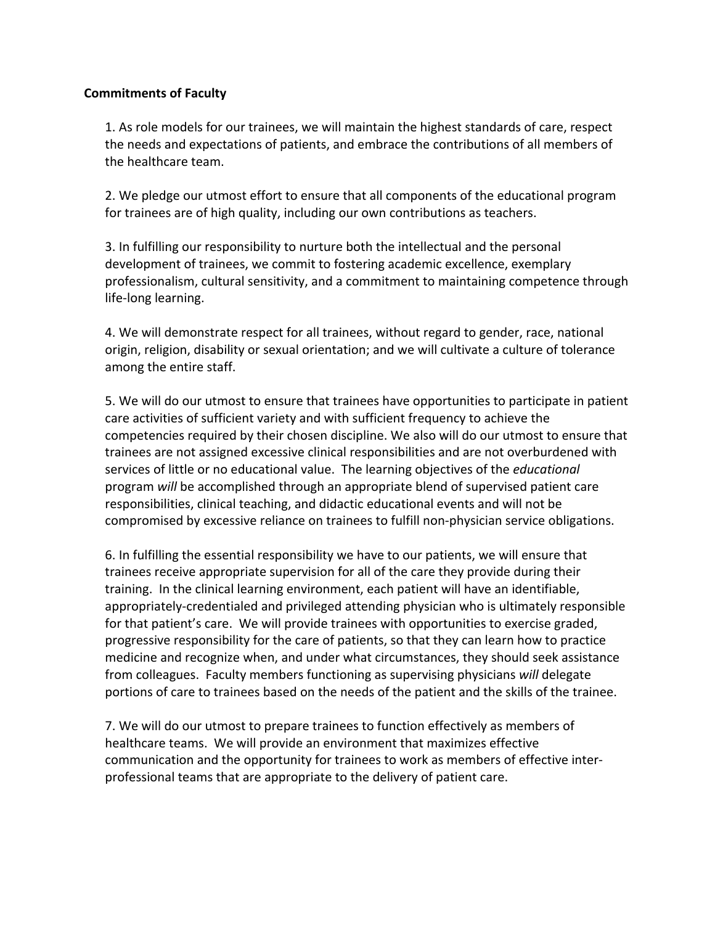#### **Commitments of Faculty**

1. As role models for our trainees, we will maintain the highest standards of care, respect the needs and expectations of patients, and embrace the contributions of all members of the healthcare team.

2. We pledge our utmost effort to ensure that all components of the educational program for trainees are of high quality, including our own contributions as teachers.

3. In fulfilling our responsibility to nurture both the intellectual and the personal development of trainees, we commit to fostering academic excellence, exemplary professionalism, cultural sensitivity, and a commitment to maintaining competence through life-long learning.

4. We will demonstrate respect for all trainees, without regard to gender, race, national origin, religion, disability or sexual orientation; and we will cultivate a culture of tolerance among the entire staff.

5. We will do our utmost to ensure that trainees have opportunities to participate in patient care activities of sufficient variety and with sufficient frequency to achieve the competencies required by their chosen discipline. We also will do our utmost to ensure that trainees are not assigned excessive clinical responsibilities and are not overburdened with services of little or no educational value. The learning objectives of the *educational* program *will* be accomplished through an appropriate blend of supervised patient care responsibilities, clinical teaching, and didactic educational events and will not be compromised by excessive reliance on trainees to fulfill non-physician service obligations.

6. In fulfilling the essential responsibility we have to our patients, we will ensure that trainees receive appropriate supervision for all of the care they provide during their training. In the clinical learning environment, each patient will have an identifiable, appropriately-credentialed and privileged attending physician who is ultimately responsible for that patient's care. We will provide trainees with opportunities to exercise graded, progressive responsibility for the care of patients, so that they can learn how to practice medicine and recognize when, and under what circumstances, they should seek assistance from colleagues. Faculty members functioning as supervising physicians will delegate portions of care to trainees based on the needs of the patient and the skills of the trainee.

7. We will do our utmost to prepare trainees to function effectively as members of healthcare teams. We will provide an environment that maximizes effective communication and the opportunity for trainees to work as members of effective interprofessional teams that are appropriate to the delivery of patient care.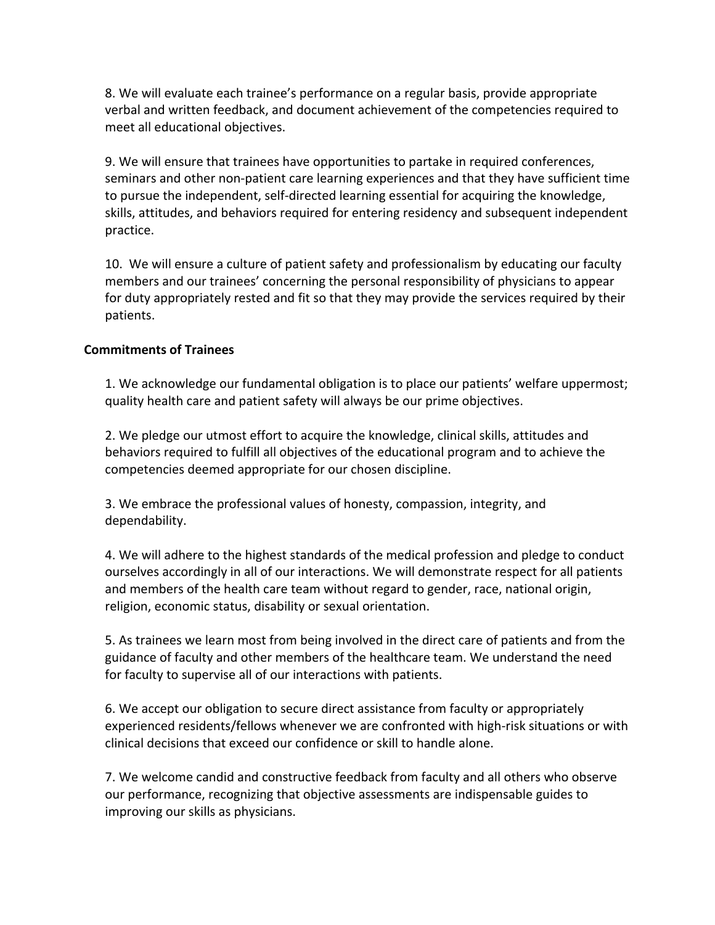8. We will evaluate each trainee's performance on a regular basis, provide appropriate verbal and written feedback, and document achievement of the competencies required to meet all educational objectives.

9. We will ensure that trainees have opportunities to partake in required conferences, seminars and other non-patient care learning experiences and that they have sufficient time to pursue the independent, self-directed learning essential for acquiring the knowledge, skills, attitudes, and behaviors required for entering residency and subsequent independent practice.

10. We will ensure a culture of patient safety and professionalism by educating our faculty members and our trainees' concerning the personal responsibility of physicians to appear for duty appropriately rested and fit so that they may provide the services required by their patients. 

## **Commitments of Trainees**

1. We acknowledge our fundamental obligation is to place our patients' welfare uppermost; quality health care and patient safety will always be our prime objectives.

2. We pledge our utmost effort to acquire the knowledge, clinical skills, attitudes and behaviors required to fulfill all objectives of the educational program and to achieve the competencies deemed appropriate for our chosen discipline.

3. We embrace the professional values of honesty, compassion, integrity, and dependability.

4. We will adhere to the highest standards of the medical profession and pledge to conduct ourselves accordingly in all of our interactions. We will demonstrate respect for all patients and members of the health care team without regard to gender, race, national origin, religion, economic status, disability or sexual orientation.

5. As trainees we learn most from being involved in the direct care of patients and from the guidance of faculty and other members of the healthcare team. We understand the need for faculty to supervise all of our interactions with patients.

6. We accept our obligation to secure direct assistance from faculty or appropriately experienced residents/fellows whenever we are confronted with high-risk situations or with clinical decisions that exceed our confidence or skill to handle alone.

7. We welcome candid and constructive feedback from faculty and all others who observe our performance, recognizing that objective assessments are indispensable guides to improving our skills as physicians.